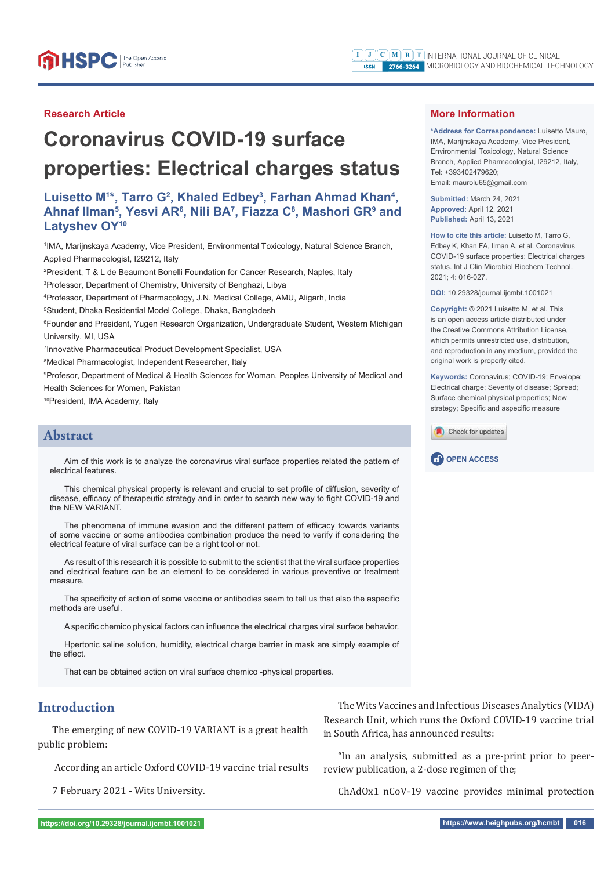#### **Research Article**

# **Coronavirus COVID-19 surface properties: Electrical charges status**

# Luisetto M<sup>1\*</sup>, Tarro G<sup>2</sup>, Khaled Edbey<sup>3</sup>, Farhan Ahmad Khan<sup>4</sup>, **Ahnaf Ilman5 , Yesvi AR6 , Nili BA7 , Fiazza C8 , Mashori GR9 and Latyshev OY10**

1 IMA, Marijnskaya Academy, Vice President, Environmental Toxicology, Natural Science Branch, Applied Pharmacologist, I29212, Italy

2 President, T & L de Beaumont Bonelli Foundation for Cancer Research, Naples, Italy

3 Professor, Department of Chemistry, University of Benghazi, Libya

4 Professor, Department of Pharmacology, J.N. Medical College, AMU, Aligarh, India

5 Student, Dhaka Residential Model College, Dhaka, Bangladesh

6 Founder and President, Yugen Research Organization, Undergraduate Student, Western Michigan University, MI, USA

7 Innovative Pharmaceutical Product Development Specialist, USA

8 Medical Pharmacologist, Independent Researcher, Italy

9 Profesor, Department of Medical & Health Sciences for Woman, Peoples University of Medical and Health Sciences for Women, Pakistan

10President, IMA Academy, Italy

# **Abstract**

Aim of this work is to analyze the coronavirus viral surface properties related the pattern of electrical features.

This chemical physical property is relevant and crucial to set profile of diffusion, severity of disease, efficacy of therapeutic strategy and in order to search new way to fight COVID-19 and the NEW VARIANT.

The phenomena of immune evasion and the different pattern of efficacy towards variants of some vaccine or some antibodies combination produce the need to verify if considering the electrical feature of viral surface can be a right tool or not.

As result of this research it is possible to submit to the scientist that the viral surface properties and electrical feature can be an element to be considered in various preventive or treatment measure.

The specificity of action of some vaccine or antibodies seem to tell us that also the aspecific methods are useful.

A specific chemico physical factors can influence the electrical charges viral surface behavior.

Hpertonic saline solution, humidity, electrical charge barrier in mask are simply example of the effect

That can be obtained action on viral surface chemico -physical properties.

# **Introduction**

The emerging of new COVID-19 VARIANT is a great health public problem:

According an article Oxford COVID-19 vaccine trial results

7 February 2021 - Wits University.

The Wits Vaccines and Infectious Diseases Analytics (VIDA) Research Unit, which runs the Oxford COVID-19 vaccine trial in South Africa, has announced results:

"In an analysis, submitted as a pre-print prior to peerreview publication, a 2-dose regimen of the;

ChAdOx1 nCoV-19 vaccine provides minimal protection

**\*Address for Correspondence:** Luisetto Mauro, IMA, Marijnskaya Academy, Vice President, Environmental Toxicology, Natural Science Branch, Applied Pharmacologist, I29212, Italy, Tel: +393402479620; Email: maurolu65@gmail.com

**Submitted:** March 24, 2021 **Approved:** April 12, 2021 **Published:** April 13, 2021

**How to cite this article:** Luisetto M, Tarro G, Edbey K, Khan FA, Ilman A, et al. Coronavirus COVID-19 surface properties: Electrical charges status. Int J Clin Microbiol Biochem Technol. 2021; 4: 016-027.

**DOI:** 10.29328/journal.ijcmbt.1001021

**Copyright: ©** 2021 Luisetto M, et al. This is an open access article distributed under the Creative Commons Attribution License, which permits unrestricted use, distribution, and reproduction in any medium, provided the original work is properly cited.

**Keywords:** Coronavirus; COVID-19; Envelope; Electrical charge; Severity of disease; Spread; Surface chemical physical properties; New strategy; Specific and aspecific measure



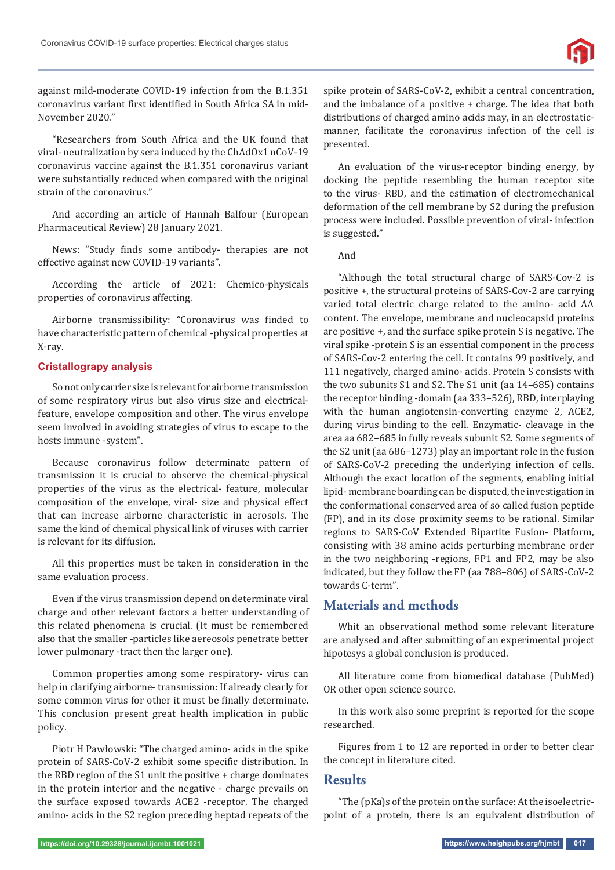against mild-moderate COVID-19 infection from the B.1.351 coronavirus variant first identified in South Africa SA in mid-November 2020."

"Researchers from South Africa and the UK found that viral- neutralization by sera induced by the ChAdOx1 nCoV-19 coronavirus vaccine against the B.1.351 coronavirus variant were substantially reduced when compared with the original strain of the coronavirus."

And according an article of Hannah Balfour (European Pharmaceutical Review) 28 January 2021.

News: "Study finds some antibody- therapies are not effective against new COVID-19 variants".

According the article of 2021: Chemico-physicals properties of coronavirus affecting.

Airborne transmissibility: "Coronavirus was finded to have characteristic pattern of chemical -physical properties at X-ray.

### **Cristallograpy analysis**

So not only carrier size is relevant for airborne transmission of some respiratory virus but also virus size and electricalfeature, envelope composition and other. The virus envelope seem involved in avoiding strategies of virus to escape to the hosts immune -system".

Because coronavirus follow determinate pattern of transmission it is crucial to observe the chemical-physical properties of the virus as the electrical- feature, molecular composition of the envelope, viral- size and physical effect that can increase airborne characteristic in aerosols. The same the kind of chemical physical link of viruses with carrier is relevant for its diffusion.

All this properties must be taken in consideration in the same evaluation process.

Even if the virus transmission depend on determinate viral charge and other relevant factors a better understanding of this related phenomena is crucial. (It must be remembered also that the smaller -particles like aereosols penetrate better lower pulmonary -tract then the larger one).

Common properties among some respiratory- virus can help in clarifying airborne- transmission: If already clearly for some common virus for other it must be finally determinate. This conclusion present great health implication in public policy.

Piotr H Pawłowski: "The charged amino- acids in the spike protein of SARS-CoV-2 exhibit some specific distribution. In the RBD region of the S1 unit the positive + charge dominates in the protein interior and the negative - charge prevails on the surface exposed towards ACE2 -receptor. The charged amino- acids in the S2 region preceding heptad repeats of the spike protein of SARS-CoV-2, exhibit a central concentration, and the imbalance of a positive + charge. The idea that both distributions of charged amino acids may, in an electrostaticmanner, facilitate the coronavirus infection of the cell is presented.

An evaluation of the virus-receptor binding energy, by docking the peptide resembling the human receptor site to the virus- RBD, and the estimation of electromechanical deformation of the cell membrane by S2 during the prefusion process were included. Possible prevention of viral- infection is suggested."

And

"Although the total structural charge of SARS-Cov-2 is positive +, the structural proteins of SARS-Cov-2 are carrying varied total electric charge related to the amino- acid AA content. The envelope, membrane and nucleocapsid proteins are positive +, and the surface spike protein S is negative. The viral spike -protein S is an essential component in the process of SARS-Cov-2 entering the cell. It contains 99 positively, and 111 negatively, charged amino- acids. Protein S consists with the two subunits S1 and S2. The S1 unit (aa 14–685) contains the receptor binding -domain (aa 333–526), RBD, interplaying with the human angiotensin-converting enzyme 2, ACE2, during virus binding to the cell. Enzymatic- cleavage in the area aa 682–685 in fully reveals subunit S2. Some segments of the S2 unit (aa 686–1273) play an important role in the fusion of SARS-CoV-2 preceding the underlying infection of cells. Although the exact location of the segments, enabling initial lipid- membrane boarding can be disputed, the investigation in the conformational conserved area of so called fusion peptide (FP), and in its close proximity seems to be rational. Similar regions to SARS-CoV Extended Bipartite Fusion- Platform, consisting with 38 amino acids perturbing membrane order in the two neighboring -regions, FP1 and FP2, may be also indicated, but they follow the FP (aa 788–806) of SARS-CoV-2 towards C-term".

# **Materials and methods**

Whit an observational method some relevant literature are analysed and after submitting of an experimental project hipotesys a global conclusion is produced.

All literature come from biomedical database (PubMed) OR other open science source.

In this work also some preprint is reported for the scope researched.

Figures from 1 to 12 are reported in order to better clear the concept in literature cited.

## **Results**

"The (pKa)s of the protein on the surface: At the isoelectricpoint of a protein, there is an equivalent distribution of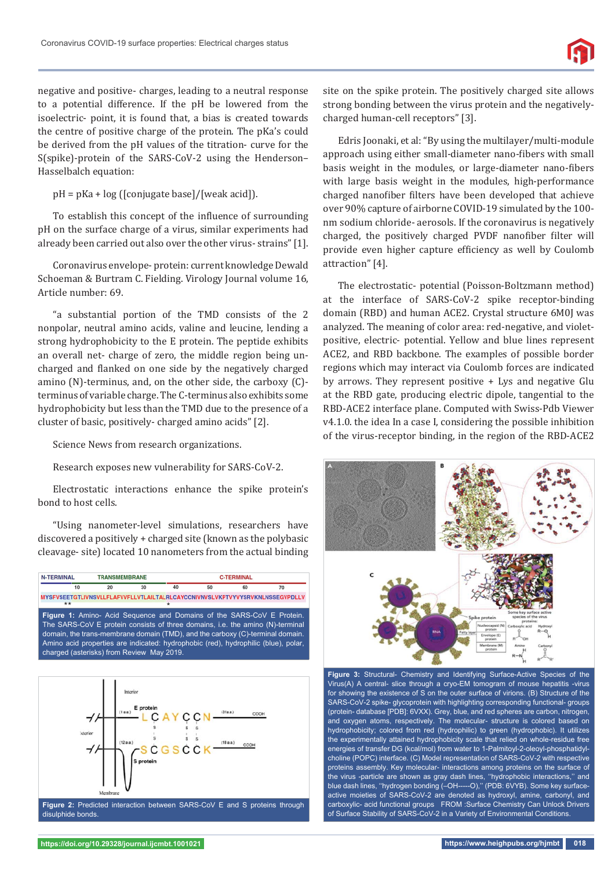negative and positive- charges, leading to a neutral response to a potential difference. If the pH be lowered from the isoelectric- point, it is found that, a bias is created towards the centre of positive charge of the protein. The pKa's could be derived from the pH values of the titration- curve for the S(spike)-protein of the SARS-CoV-2 using the Henderson– Hasselbalch equation:

pH = pKa + log ([conjugate base]/[weak acid]).

To establish this concept of the influence of surrounding pH on the surface charge of a virus, similar experiments had already been carried out also over the other virus- strains" [1].

Coronavirus envelope- protein: current knowledge Dewald Schoeman & Burtram C. Fielding. Virology Journal volume 16, Article number: 69.

"a substantial portion of the TMD consists of the 2 nonpolar, neutral amino acids, valine and leucine, lending a strong hydrophobicity to the E protein. The peptide exhibits an overall net- charge of zero, the middle region being uncharged and flanked on one side by the negatively charged amino (N)-terminus, and, on the other side, the carboxy (C) terminus of variable charge. The C-terminus also exhibits some hydrophobicity but less than the TMD due to the presence of a cluster of basic, positively- charged amino acids" [2].

Science News from research organizations.

Research exposes new vulnerability for SARS-CoV-2.

Electrostatic interactions enhance the spike protein's bond to host cells.

"Using nanometer-level simulations, researchers have discovered a positively + charged site (known as the polybasic cleavage- site) located 10 nanometers from the actual binding





disulphide bonds.

site on the spike protein. The positively charged site allows strong bonding between the virus protein and the negativelycharged human-cell receptors" [3].

Edris Joonaki, et al: "By using the multilayer/multi-module approach using either small-diameter nano-fibers with small basis weight in the modules, or large-diameter nano-fibers with large basis weight in the modules, high-performance charged nanofiber filters have been developed that achieve over 90% capture of airborne COVID-19 simulated by the 100 nm sodium chloride- aerosols. If the coronavirus is negatively charged, the positively charged PVDF nanofiber filter will provide even higher capture efficiency as well by Coulomb attraction" [4].

The electrostatic- potential (Poisson-Boltzmann method) at the interface of SARS-CoV-2 spike receptor-binding domain (RBD) and human ACE2. Crystal structure 6M0J was analyzed. The meaning of color area: red-negative, and violetpositive, electric- potential. Yellow and blue lines represent ACE2, and RBD backbone. The examples of possible border regions which may interact via Coulomb forces are indicated by arrows. They represent positive + Lys and negative Glu at the RBD gate, producing electric dipole, tangential to the RBD-ACE2 interface plane. Computed with Swiss-Pdb Viewer v4.1.0. the idea In a case I, considering the possible inhibition of the virus-receptor binding, in the region of the RBD-ACE2



**Figure 3:** Structural- Chemistry and Identifying Surface-Active Species of the Virus(A) A central- slice through a cryo-EM tomogram of mouse hepatitis -virus for showing the existence of S on the outer surface of virions. (B) Structure of the SARS-CoV-2 spike- glycoprotein with highlighting corresponding functional- groups (protein- database [PDB]: 6VXX). Grey, blue, and red spheres are carbon, nitrogen, and oxygen atoms, respectively. The molecular- structure is colored based on hydrophobicity; colored from red (hydrophilic) to green (hydrophobic). It utilizes the experimentally attained hydrophobicity scale that relied on whole-residue free energies of transfer DG (kcal/mol) from water to 1-Palmitoyl-2-oleoyl-phosphatidylcholine (POPC) interface. (C) Model representation of SARS-CoV-2 with respective proteins assembly. Key molecular- interactions among proteins on the surface of the virus -particle are shown as gray dash lines, ''hydrophobic interactions,'' and blue dash lines, "hydrogen bonding (-OH-----O)," (PDB: 6VYB). Some key surfaceactive moieties of SARS-CoV-2 are denoted as hydroxyl, amine, carbonyl, and carboxylic- acid functional groups FROM :Surface Chemistry Can Unlock Drivers of Surface Stability of SARS-CoV-2 in a Variety of Environmental Conditions.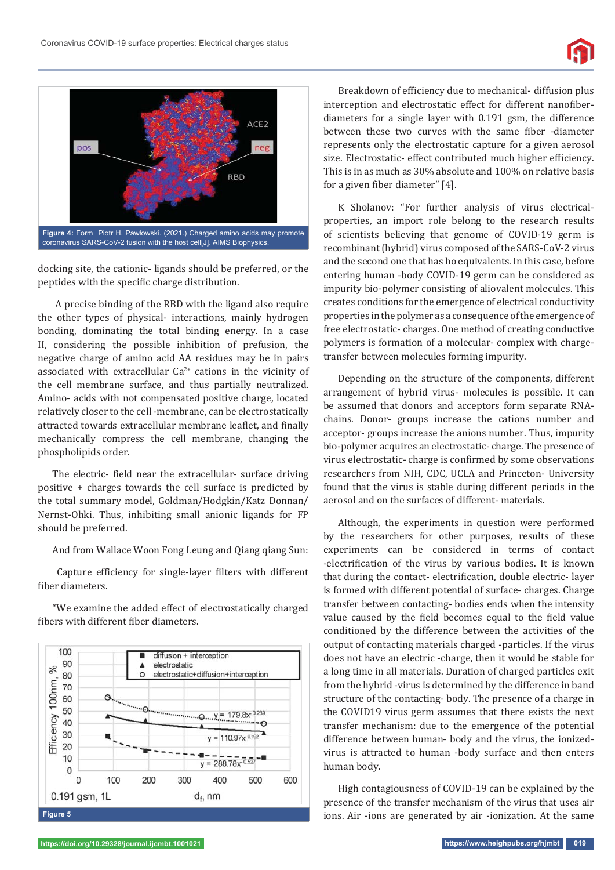

docking site, the cationic- ligands should be preferred, or the peptides with the specific charge distribution.

 A precise binding of the RBD with the ligand also require the other types of physical- interactions, mainly hydrogen bonding, dominating the total binding energy. In a case II, considering the possible inhibition of prefusion, the negative charge of amino acid AA residues may be in pairs associated with extracellular  $Ca^{2+}$  cations in the vicinity of the cell membrane surface, and thus partially neutralized. Amino- acids with not compensated positive charge, located relatively closer to the cell -membrane, can be electrostatically attracted towards extracellular membrane leaflet, and finally mechanically compress the cell membrane, changing the phospholipids order.

The electric- field near the extracellular- surface driving positive + charges towards the cell surface is predicted by the total summary model, Goldman/Hodgkin/Katz Donnan/ Nernst-Ohki. Thus, inhibiting small anionic ligands for FP should be preferred.

And from Wallace Woon Fong Leung and Qiang qiang Sun:

Capture efficiency for single-layer filters with different fiber diameters.

"We examine the added effect of electrostatically charged fibers with different fiber diameters.



Breakdown of efficiency due to mechanical- diffusion plus interception and electrostatic effect for different nanofiberdiameters for a single layer with 0.191 gsm, the difference between these two curves with the same fiber -diameter represents only the electrostatic capture for a given aerosol size. Electrostatic- effect contributed much higher efficiency. This is in as much as 30% absolute and 100% on relative basis for a given fiber diameter" [4].

K Sholanov: "For further analysis of virus electricalproperties, an import role belong to the research results of scientists believing that genome of COVID-19 germ is recombinant (hybrid) virus composed of the SARS-CoV-2 virus and the second one that has ho equivalents. In this case, before entering human -body COVID-19 germ can be considered as impurity bio-polymer consisting of aliovalent molecules. This creates conditions for the emergence of electrical conductivity properties in the polymer as a consequence of the emergence of free electrostatic- charges. One method of creating conductive polymers is formation of a molecular- complex with chargetransfer between molecules forming impurity.

Depending on the structure of the components, different arrangement of hybrid virus- molecules is possible. It can be assumed that donors and acceptors form separate RNAchains. Donor- groups increase the cations number and acceptor- groups increase the anions number. Thus, impurity bio-polymer acquires an electrostatic- charge. The presence of virus electrostatic- charge is confirmed by some observations researchers from NIH, CDC, UCLA and Princeton- University found that the virus is stable during different periods in the aerosol and on the surfaces of different- materials.

Although, the experiments in question were performed by the researchers for other purposes, results of these experiments can be considered in terms of contact -electrification of the virus by various bodies. It is known that during the contact- electrification, double electric- layer is formed with different potential of surface- charges. Charge transfer between contacting- bodies ends when the intensity value caused by the field becomes equal to the field value conditioned by the difference between the activities of the output of contacting materials charged -particles. If the virus does not have an electric -charge, then it would be stable for a long time in all materials. Duration of charged particles exit from the hybrid -virus is determined by the difference in band structure of the contacting- body. The presence of a charge in the COVID19 virus germ assumes that there exists the next transfer mechanism: due to the emergence of the potential difference between human- body and the virus, the ionizedvirus is attracted to human -body surface and then enters human body.

High contagiousness of COVID-19 can be explained by the presence of the transfer mechanism of the virus that uses air ions. Air -ions are generated by air -ionization. At the same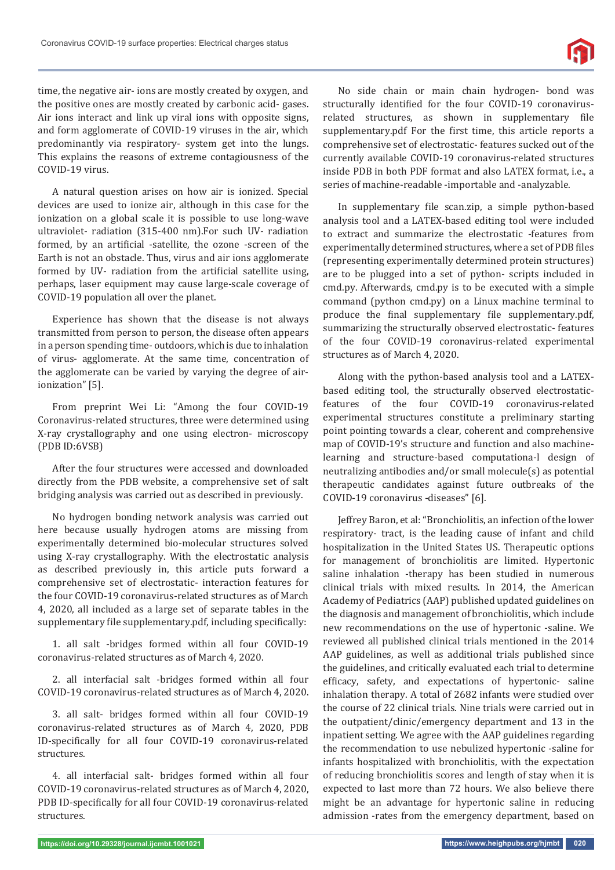time, the negative air- ions are mostly created by oxygen, and the positive ones are mostly created by carbonic acid- gases. Air ions interact and link up viral ions with opposite signs, and form agglomerate of COVID-19 viruses in the air, which predominantly via respiratory- system get into the lungs. This explains the reasons of extreme contagiousness of the COVID-19 virus.

A natural question arises on how air is ionized. Special devices are used to ionize air, although in this case for the ionization on a global scale it is possible to use long-wave ultraviolet- radiation (315-400 nm).For such UV- radiation formed, by an artificial -satellite, the ozone -screen of the Earth is not an obstacle. Thus, virus and air ions agglomerate formed by UV- radiation from the artificial satellite using, perhaps, laser equipment may cause large-scale coverage of COVID-19 population all over the planet.

Experience has shown that the disease is not always transmitted from person to person, the disease often appears in a person spending time- outdoors, which is due to inhalation of virus- agglomerate. At the same time, concentration of the agglomerate can be varied by varying the degree of airionization" [5].

From preprint Wei Li: "Among the four COVID-19 Coronavirus-related structures, three were determined using X-ray crystallography and one using electron- microscopy (PDB ID:6VSB)

After the four structures were accessed and downloaded directly from the PDB website, a comprehensive set of salt bridging analysis was carried out as described in previously.

No hydrogen bonding network analysis was carried out here because usually hydrogen atoms are missing from experimentally determined bio-molecular structures solved using X-ray crystallography. With the electrostatic analysis as described previously in, this article puts forward a comprehensive set of electrostatic- interaction features for the four COVID-19 coronavirus-related structures as of March 4, 2020, all included as a large set of separate tables in the supplementary file supplementary.pdf, including specifically:

1. all salt -bridges formed within all four COVID-19 coronavirus-related structures as of March 4, 2020.

2. all interfacial salt -bridges formed within all four COVID-19 coronavirus-related structures as of March 4, 2020.

3. all salt- bridges formed within all four COVID-19 coronavirus-related structures as of March 4, 2020, PDB ID-specifically for all four COVID-19 coronavirus-related structures.

4. all interfacial salt- bridges formed within all four COVID-19 coronavirus-related structures as of March 4, 2020, PDB ID-specifically for all four COVID-19 coronavirus-related structures.

No side chain or main chain hydrogen- bond was structurally identified for the four COVID-19 coronavirusrelated structures, as shown in supplementary file supplementary.pdf For the first time, this article reports a comprehensive set of electrostatic- features sucked out of the currently available COVID-19 coronavirus-related structures inside PDB in both PDF format and also LATEX format, i.e., a series of machine-readable -importable and -analyzable.

In supplementary file scan.zip, a simple python-based analysis tool and a LATEX-based editing tool were included to extract and summarize the electrostatic -features from experimentally determined structures, where a set of PDB files (representing experimentally determined protein structures) are to be plugged into a set of python- scripts included in cmd.py. Afterwards, cmd.py is to be executed with a simple command (python cmd.py) on a Linux machine terminal to produce the final supplementary file supplementary.pdf, summarizing the structurally observed electrostatic- features of the four COVID-19 coronavirus-related experimental structures as of March 4, 2020.

Along with the python-based analysis tool and a LATEXbased editing tool, the structurally observed electrostaticfeatures of the four COVID-19 coronavirus-related experimental structures constitute a preliminary starting point pointing towards a clear, coherent and comprehensive map of COVID-19's structure and function and also machinelearning and structure-based computationa-l design of neutralizing antibodies and/or small molecule(s) as potential therapeutic candidates against future outbreaks of the COVID-19 coronavirus -diseases" [6].

Jeffrey Baron, et al: "Bronchiolitis, an infection of the lower respiratory- tract, is the leading cause of infant and child hospitalization in the United States US. Therapeutic options for management of bronchiolitis are limited. Hypertonic saline inhalation -therapy has been studied in numerous clinical trials with mixed results. In 2014, the American Academy of Pediatrics (AAP) published updated guidelines on the diagnosis and management of bronchiolitis, which include new recommendations on the use of hypertonic -saline. We reviewed all published clinical trials mentioned in the 2014 AAP guidelines, as well as additional trials published since the guidelines, and critically evaluated each trial to determine efficacy, safety, and expectations of hypertonic- saline inhalation therapy. A total of 2682 infants were studied over the course of 22 clinical trials. Nine trials were carried out in the outpatient/clinic/emergency department and 13 in the inpatient setting. We agree with the AAP guidelines regarding the recommendation to use nebulized hypertonic -saline for infants hospitalized with bronchiolitis, with the expectation of reducing bronchiolitis scores and length of stay when it is expected to last more than 72 hours. We also believe there might be an advantage for hypertonic saline in reducing admission -rates from the emergency department, based on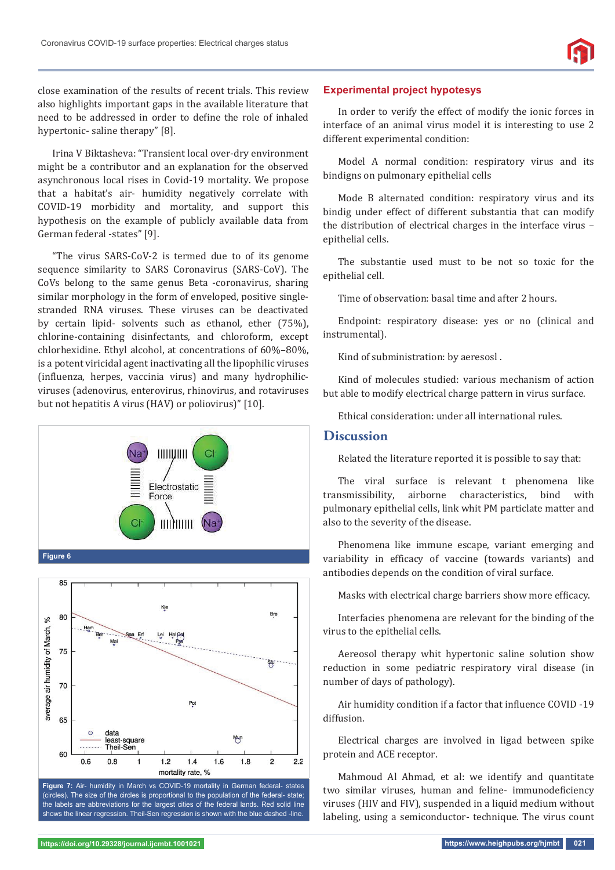close examination of the results of recent trials. This review also highlights important gaps in the available literature that need to be addressed in order to define the role of inhaled hypertonic- saline therapy" [8].

Irina V Biktasheva: "Transient local over-dry environment might be a contributor and an explanation for the observed asynchronous local rises in Covid-19 mortality. We propose that a habitat's air- humidity negatively correlate with COVID-19 morbidity and mortality, and support this hypothesis on the example of publicly available data from German federal -states" [9].

"The virus SARS-CoV-2 is termed due to of its genome sequence similarity to SARS Coronavirus (SARS-CoV). The CoVs belong to the same genus Beta -coronavirus, sharing similar morphology in the form of enveloped, positive singlestranded RNA viruses. These viruses can be deactivated by certain lipid- solvents such as ethanol, ether (75%), chlorine-containing disinfectants, and chloroform, except chlorhexidine. Ethyl alcohol, at concentrations of 60%–80%, is a potent viricidal agent inactivating all the lipophilic viruses (influenza, herpes, vaccinia virus) and many hydrophilicviruses (adenovirus, enterovirus, rhinovirus, and rotaviruses but not hepatitis A virus (HAV) or poliovirus)" [10].



(circles). The size of the circles is proportional to the population of the federal- state; the labels are abbreviations for the largest cities of the federal lands. Red solid line shows the linear regression. Theil-Sen regression is shown with the blue dashed -line.

#### **Experimental project hypotesys**

In order to verify the effect of modify the ionic forces in interface of an animal virus model it is interesting to use 2 different experimental condition:

Model A normal condition: respiratory virus and its bindigns on pulmonary epithelial cells

Mode B alternated condition: respiratory virus and its bindig under effect of different substantia that can modify the distribution of electrical charges in the interface virus – epithelial cells.

The substantie used must to be not so toxic for the epithelial cell.

Time of observation: basal time and after 2 hours.

Endpoint: respiratory disease: yes or no (clinical and instrumental).

Kind of subministration: by aeresosl .

Kind of molecules studied: various mechanism of action but able to modify electrical charge pattern in virus surface.

Ethical consideration: under all international rules.

# **Discussion**

Related the literature reported it is possible to say that:

The viral surface is relevant t phenomena like transmissibility, airborne characteristics, bind with pulmonary epithelial cells, link whit PM particlate matter and also to the severity of the disease.

Phenomena like immune escape, variant emerging and variability in efficacy of vaccine (towards variants) and antibodies depends on the condition of viral surface.

Masks with electrical charge barriers show more efficacy.

Interfacies phenomena are relevant for the binding of the virus to the epithelial cells.

Aereosol therapy whit hypertonic saline solution show reduction in some pediatric respiratory viral disease (in number of days of pathology).

Air humidity condition if a factor that influence COVID -19 diffusion.

Electrical charges are involved in ligad between spike protein and ACE receptor.

Mahmoud Al Ahmad, et al: we identify and quantitate two similar viruses, human and feline- immunodeficiency viruses (HIV and FIV), suspended in a liquid medium without labeling, using a semiconductor- technique. The virus count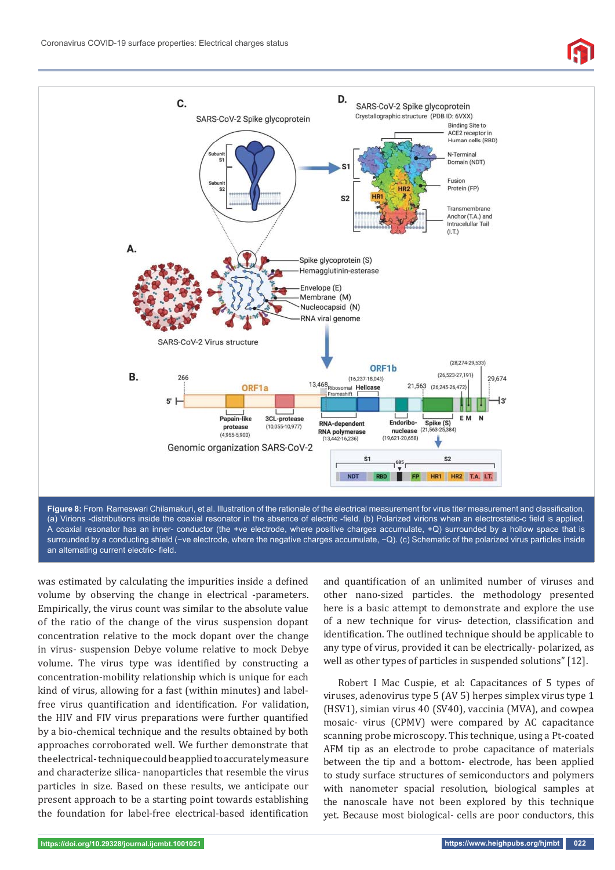

(a) Virions -distributions inside the coaxial resonator in the absence of electric -field. (b) Polarized virions when an electrostatic-c field is applied. A coaxial resonator has an inner- conductor (the +ve electrode, where positive charges accumulate, +Q) surrounded by a hollow space that is surrounded by a conducting shield (−ve electrode, where the negative charges accumulate, -Q). (c) Schematic of the polarized virus particles inside an alternating current electric- field.

was estimated by calculating the impurities inside a defined volume by observing the change in electrical -parameters. Empirically, the virus count was similar to the absolute value of the ratio of the change of the virus suspension dopant concentration relative to the mock dopant over the change in virus- suspension Debye volume relative to mock Debye volume. The virus type was identified by constructing a concentration-mobility relationship which is unique for each kind of virus, allowing for a fast (within minutes) and labelfree virus quantification and identification. For validation, the HIV and FIV virus preparations were further quantified by a bio-chemical technique and the results obtained by both approaches corroborated well. We further demonstrate that the electrical- technique could be applied to accurately measure and characterize silica- nanoparticles that resemble the virus particles in size. Based on these results, we anticipate our present approach to be a starting point towards establishing the foundation for label-free electrical-based identification and quantification of an unlimited number of viruses and other nano-sized particles. the methodology presented here is a basic attempt to demonstrate and explore the use of a new technique for virus- detection, classification and identification. The outlined technique should be applicable to any type of virus, provided it can be electrically- polarized, as well as other types of particles in suspended solutions" [12].

Robert I Mac Cuspie, et al: Capacitances of 5 types of viruses, adenovirus type 5 (AV 5) herpes simplex virus type 1 (HSV1), simian virus 40 (SV40), vaccinia (MVA), and cowpea mosaic- virus (CPMV) were compared by AC capacitance scanning probe microscopy. This technique, using a Pt-coated AFM tip as an electrode to probe capacitance of materials between the tip and a bottom- electrode, has been applied to study surface structures of semiconductors and polymers with nanometer spacial resolution, biological samples at the nanoscale have not been explored by this technique yet. Because most biological- cells are poor conductors, this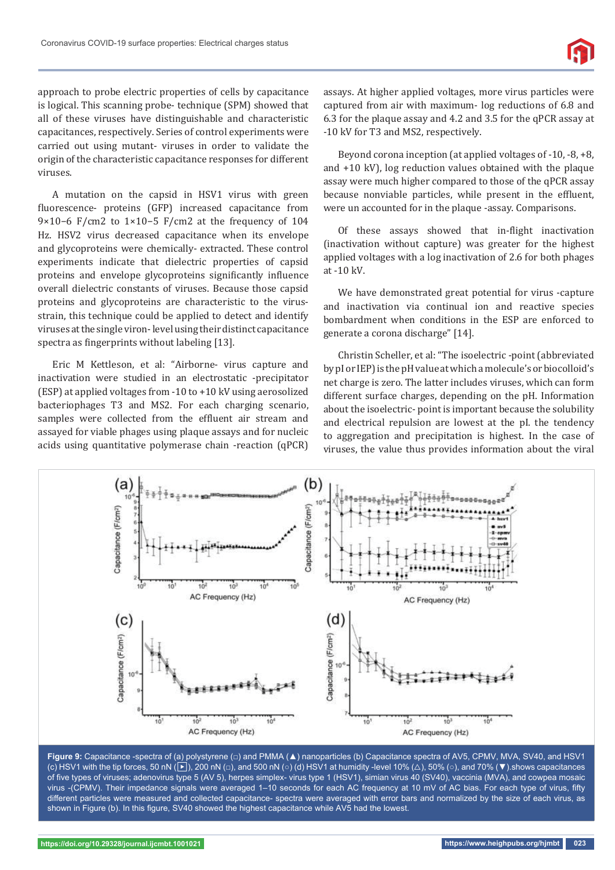approach to probe electric properties of cells by capacitance is logical. This scanning probe- technique (SPM) showed that all of these viruses have distinguishable and characteristic capacitances, respectively. Series of control experiments were carried out using mutant- viruses in order to validate the origin of the characteristic capacitance responses for different viruses.

A mutation on the capsid in HSV1 virus with green fluorescence- proteins (GFP) increased capacitance from 9×10−6 F/cm2 to 1×10−5 F/cm2 at the frequency of 104 Hz. HSV2 virus decreased capacitance when its envelope and glycoproteins were chemically- extracted. These control experiments indicate that dielectric properties of capsid proteins and envelope glycoproteins significantly influence overall dielectric constants of viruses. Because those capsid proteins and glycoproteins are characteristic to the virusstrain, this technique could be applied to detect and identify viruses at the single viron- level using their distinct capacitance spectra as fingerprints without labeling [13].

Eric M Kettleson, et al: "Airborne- virus capture and inactivation were studied in an electrostatic -precipitator (ESP) at applied voltages from -10 to +10 kV using aerosolized bacteriophages T3 and MS2. For each charging scenario, samples were collected from the effluent air stream and assayed for viable phages using plaque assays and for nucleic acids using quantitative polymerase chain -reaction (qPCR)

assays. At higher applied voltages, more virus particles were captured from air with maximum- log reductions of 6.8 and 6.3 for the plaque assay and 4.2 and 3.5 for the qPCR assay at -10 kV for T3 and MS2, respectively.

Beyond corona inception (at applied voltages of -10, -8, +8, and +10 kV), log reduction values obtained with the plaque assay were much higher compared to those of the qPCR assay because nonviable particles, while present in the effluent, were un accounted for in the plaque -assay. Comparisons.

Of these assays showed that in-flight inactivation (inactivation without capture) was greater for the highest applied voltages with a log inactivation of 2.6 for both phages at -10 kV.

We have demonstrated great potential for virus -capture and inactivation via continual ion and reactive species bombardment when conditions in the ESP are enforced to generate a corona discharge" [14].

Christin Scheller, et al: "The isoelectric -point (abbreviated by pI or IEP) is the pH value at which a molecule's or biocolloid's net charge is zero. The latter includes viruses, which can form different surface charges, depending on the pH. Information about the isoelectric- point is important because the solubility and electrical repulsion are lowest at the pI. the tendency to aggregation and precipitation is highest. In the case of viruses, the value thus provides information about the viral



**Figure 9:** Capacitance -spectra of (a) polystyrene (□) and PMMA (▲) nanoparticles (b) Capacitance spectra of AV5, CPMV, MVA, SV40, and HSV1 (c) HSV1 with the tip forces, 50 nN (▶), 200 nN (□), and 500 nN (○) (d) HSV1 at humidity -level 10% (△), 50% (○), and 70% (▼).shows capacitances of five types of viruses; adenovirus type 5 (AV 5), herpes simplex- virus type 1 (HSV1), simian virus 40 (SV40), vaccinia (MVA), and cowpea mosaic virus -(CPMV). Their impedance signals were averaged 1-10 seconds for each AC frequency at 10 mV of AC bias. For each type of virus, fifty different particles were measured and collected capacitance- spectra were averaged with error bars and normalized by the size of each virus, as shown in Figure (b). In this figure, SV40 showed the highest capacitance while AV5 had the lowest.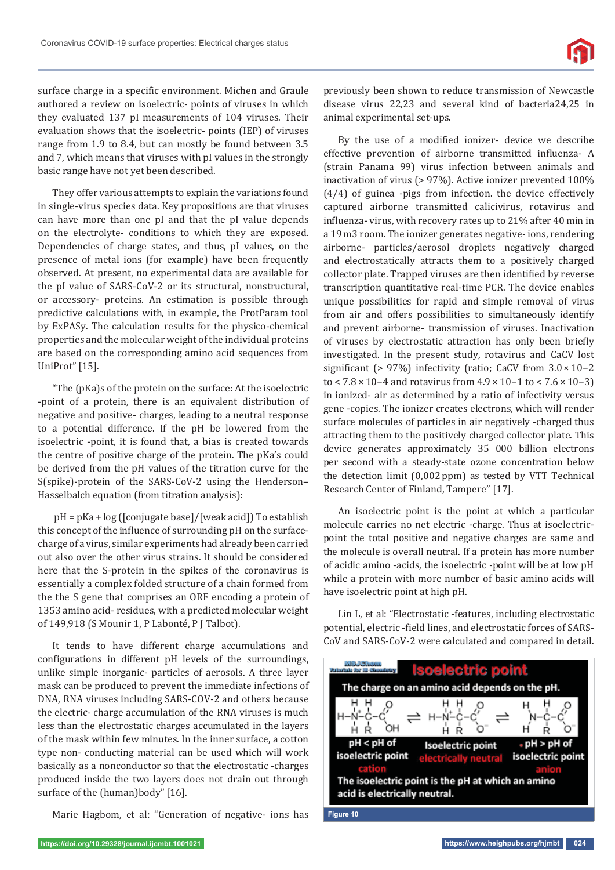surface charge in a specific environment. Michen and Graule authored a review on isoelectric- points of viruses in which they evaluated 137 pI measurements of 104 viruses. Their evaluation shows that the isoelectric- points (IEP) of viruses range from 1.9 to 8.4, but can mostly be found between 3.5 and 7, which means that viruses with pI values in the strongly basic range have not yet been described.

They offer various attempts to explain the variations found in single-virus species data. Key propositions are that viruses can have more than one pI and that the pI value depends on the electrolyte- conditions to which they are exposed. Dependencies of charge states, and thus, pI values, on the presence of metal ions (for example) have been frequently observed. At present, no experimental data are available for the pI value of SARS-CoV-2 or its structural, nonstructural, or accessory- proteins. An estimation is possible through predictive calculations with, in example, the ProtParam tool by ExPASy. The calculation results for the physico-chemical properties and the molecular weight of the individual proteins are based on the corresponding amino acid sequences from UniProt" [15].

"The (pKa)s of the protein on the surface: At the isoelectric -point of a protein, there is an equivalent distribution of negative and positive- charges, leading to a neutral response to a potential difference. If the pH be lowered from the isoelectric -point, it is found that, a bias is created towards the centre of positive charge of the protein. The pKa's could be derived from the pH values of the titration curve for the S(spike)-protein of the SARS-CoV-2 using the Henderson– Hasselbalch equation (from titration analysis):

 pH = pKa + log ([conjugate base]/[weak acid]) To establish this concept of the influence of surrounding pH on the surfacecharge of a virus, similar experiments had already been carried out also over the other virus strains. It should be considered here that the S-protein in the spikes of the coronavirus is essentially a complex folded structure of a chain formed from the the S gene that comprises an ORF encoding a protein of 1353 amino acid- residues, with a predicted molecular weight of 149,918 (S Mounir 1, P Labonté, P J Talbot).

It tends to have different charge accumulations and configurations in different pH levels of the surroundings, unlike simple inorganic- particles of aerosols. A three layer mask can be produced to prevent the immediate infections of DNA, RNA viruses including SARS-COV-2 and others because the electric- charge accumulation of the RNA viruses is much less than the electrostatic charges accumulated in the layers of the mask within few minutes. In the inner surface, a cotton type non- conducting material can be used which will work basically as a nonconductor so that the electrostatic -charges produced inside the two layers does not drain out through surface of the (human)body" [16].

Marie Hagbom, et al: "Generation of negative- ions has

previously been shown to reduce transmission of Newcastle disease virus 22,23 and several kind of bacteria24,25 in animal experimental set-ups.

By the use of a modified ionizer- device we describe effective prevention of airborne transmitted influenza- A (strain Panama 99) virus infection between animals and inactivation of virus (> 97%). Active ionizer prevented 100% (4/4) of guinea -pigs from infection. the device effectively captured airborne transmitted calicivirus, rotavirus and influenza- virus, with recovery rates up to 21% after 40 min in a 19 m3 room. The ionizer generates negative- ions, rendering airborne- particles/aerosol droplets negatively charged and electrostatically attracts them to a positively charged collector plate. Trapped viruses are then identified by reverse transcription quantitative real-time PCR. The device enables unique possibilities for rapid and simple removal of virus from air and offers possibilities to simultaneously identify and prevent airborne- transmission of viruses. Inactivation of viruses by electrostatic attraction has only been briefly investigated. In the present study, rotavirus and CaCV lost significant (> 97%) infectivity (ratio; CaCV from  $3.0 \times 10^{-2}$ to < 7.8 × 10−4 and rotavirus from 4.9 × 10−1 to < 7.6 × 10−3) in ionized- air as determined by a ratio of infectivity versus gene -copies. The ionizer creates electrons, which will render surface molecules of particles in air negatively -charged thus attracting them to the positively charged collector plate. This device generates approximately 35 000 billion electrons per second with a steady-state ozone concentration below the detection limit (0,002 ppm) as tested by VTT Technical Research Center of Finland, Tampere" [17].

An isoelectric point is the point at which a particular molecule carries no net electric -charge. Thus at isoelectricpoint the total positive and negative charges are same and the molecule is overall neutral. If a protein has more number of acidic amino -acids, the isoelectric -point will be at low pH while a protein with more number of basic amino acids will have isoelectric point at high pH.

Lin L, et al: "Electrostatic -features, including electrostatic potential, electric -field lines, and electrostatic forces of SARS-CoV and SARS-CoV-2 were calculated and compared in detail.

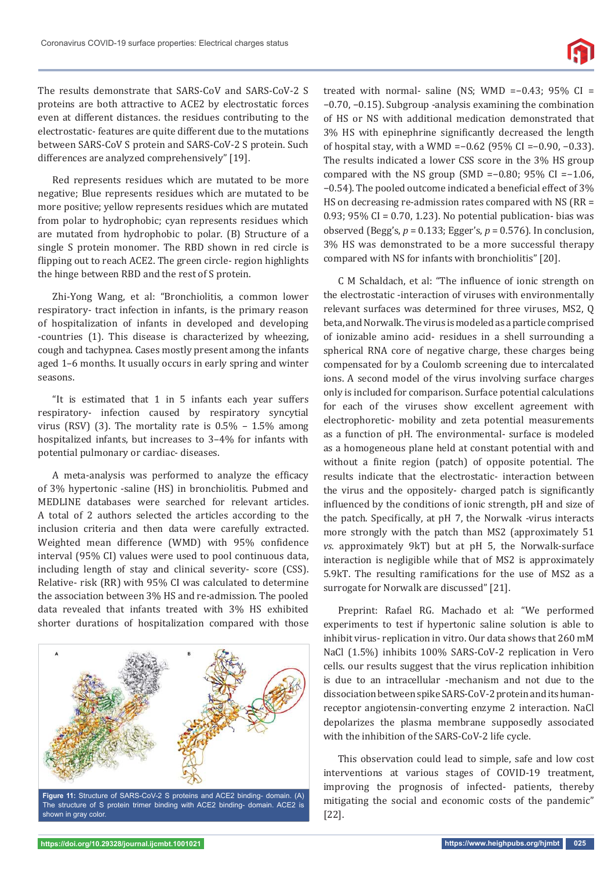The results demonstrate that SARS-CoV and SARS-CoV-2 S proteins are both attractive to ACE2 by electrostatic forces even at different distances. the residues contributing to the electrostatic- features are quite different due to the mutations between SARS-CoV S protein and SARS-CoV-2 S protein. Such differences are analyzed comprehensively" [19].

Red represents residues which are mutated to be more negative; Blue represents residues which are mutated to be more positive; yellow represents residues which are mutated from polar to hydrophobic; cyan represents residues which are mutated from hydrophobic to polar. (B) Structure of a single S protein monomer. The RBD shown in red circle is flipping out to reach ACE2. The green circle- region highlights the hinge between RBD and the rest of S protein.

Zhi-Yong Wang, et al: "Bronchiolitis, a common lower respiratory- tract infection in infants, is the primary reason of hospitalization of infants in developed and developing -countries (1). This disease is characterized by wheezing, cough and tachypnea. Cases mostly present among the infants aged 1–6 months. It usually occurs in early spring and winter seasons.

"It is estimated that 1 in 5 infants each year suffers respiratory- infection caused by respiratory syncytial virus (RSV) (3). The mortality rate is  $0.5\%$  –  $1.5\%$  among hospitalized infants, but increases to 3–4% for infants with potential pulmonary or cardiac- diseases.

A meta-analysis was performed to analyze the efficacy of 3% hypertonic -saline (HS) in bronchiolitis. Pubmed and MEDLINE databases were searched for relevant articles. A total of 2 authors selected the articles according to the inclusion criteria and then data were carefully extracted. Weighted mean difference (WMD) with 95% confidence interval (95% CI) values were used to pool continuous data, including length of stay and clinical severity- score (CSS). Relative- risk (RR) with 95% CI was calculated to determine the association between 3% HS and re-admission. The pooled data revealed that infants treated with 3% HS exhibited shorter durations of hospitalization compared with those



**Figure 11:** Structure of SARS-CoV-2 S proteins and ACE2 binding- domain. (A) The structure of S protein trimer binding with ACE2 binding- domain. ACE2 is shown in gray color.

treated with normal- saline (NS; WMD =−0.43; 95% CI = −0.70, −0.15). Subgroup -analysis examining the combination of HS or NS with additional medication demonstrated that 3% HS with epinephrine significantly decreased the length of hospital stay, with a WMD =−0.62 (95% CI =−0.90, −0.33). The results indicated a lower CSS score in the 3% HS group compared with the NS group (SMD =−0.80; 95% CI =−1.06, −0.54). The pooled outcome indicated a beneϐicial effect of 3% HS on decreasing re-admission rates compared with NS (RR = 0.93; 95% CI = 0.70, 1.23). No potential publication- bias was observed (Begg's, *p* = 0.133; Egger's, *p* = 0.576). In conclusion, 3% HS was demonstrated to be a more successful therapy compared with NS for infants with bronchiolitis" [20].

C M Schaldach, et al: "The influence of ionic strength on the electrostatic -interaction of viruses with environmentally relevant surfaces was determined for three viruses, MS2, Q beta, and Norwalk. The virus is modeled as a particle comprised of ionizable amino acid- residues in a shell surrounding a spherical RNA core of negative charge, these charges being compensated for by a Coulomb screening due to intercalated ions. A second model of the virus involving surface charges only is included for comparison. Surface potential calculations for each of the viruses show excellent agreement with electrophoretic- mobility and zeta potential measurements as a function of pH. The environmental- surface is modeled as a homogeneous plane held at constant potential with and without a finite region (patch) of opposite potential. The results indicate that the electrostatic- interaction between the virus and the oppositely- charged patch is significantly influenced by the conditions of ionic strength, pH and size of the patch. Specifically, at pH 7, the Norwalk -virus interacts more strongly with the patch than MS2 (approximately 51 *vs.* approximately 9kT) but at pH 5, the Norwalk-surface interaction is negligible while that of MS2 is approximately 5.9kT. The resulting ramifications for the use of MS2 as a surrogate for Norwalk are discussed" [21].

Preprint: Rafael RG. Machado et al: "We performed experiments to test if hypertonic saline solution is able to inhibit virus- replication in vitro. Our data shows that 260 mM NaCl (1.5%) inhibits 100% SARS-CoV-2 replication in Vero cells. our results suggest that the virus replication inhibition is due to an intracellular -mechanism and not due to the dissociation between spike SARS-CoV-2 protein and its humanreceptor angiotensin-converting enzyme 2 interaction. NaCl depolarizes the plasma membrane supposedly associated with the inhibition of the SARS-CoV-2 life cycle.

This observation could lead to simple, safe and low cost interventions at various stages of COVID-19 treatment, improving the prognosis of infected- patients, thereby mitigating the social and economic costs of the pandemic" [22].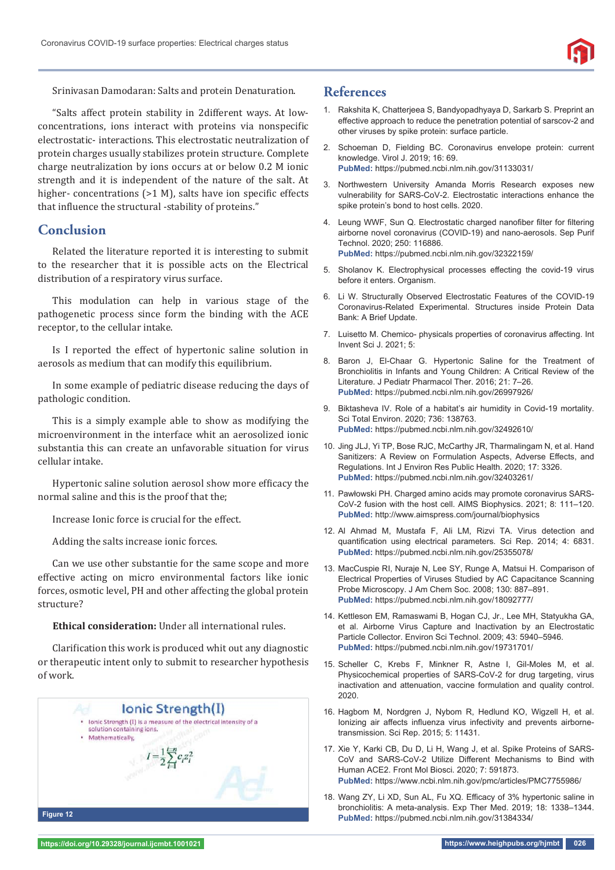

Srinivasan Damodaran: Salts and protein Denaturation.

"Salts affect protein stability in 2different ways. At lowconcentrations, ions interact with proteins via nonspecific electrostatic- interactions. This electrostatic neutralization of protein charges usually stabilizes protein structure. Complete charge neutralization by ions occurs at or below 0.2 M ionic strength and it is independent of the nature of the salt. At higher- concentrations  $(>1 \text{ M})$ , salts have ion specific effects that influence the structural -stability of proteins."

## **Conclusion**

Related the literature reported it is interesting to submit to the researcher that it is possible acts on the Electrical distribution of a respiratory virus surface.

This modulation can help in various stage of the pathogenetic process since form the binding with the ACE receptor, to the cellular intake.

Is I reported the effect of hypertonic saline solution in aerosols as medium that can modify this equilibrium.

In some example of pediatric disease reducing the days of pathologic condition.

This is a simply example able to show as modifying the microenvironment in the interface whit an aerosolized ionic substantia this can create an unfavorable situation for virus cellular intake.

Hypertonic saline solution aerosol show more efficacy the normal saline and this is the proof that the;

Increase Ionic force is crucial for the effect.

Adding the salts increase ionic forces.

Can we use other substantie for the same scope and more effective acting on micro environmental factors like ionic forces, osmotic level, PH and other affecting the global protein structure?

**Ethical consideration:** Under all international rules.

Clarification this work is produced whit out any diagnostic or therapeutic intent only to submit to researcher hypothesis of work.



# **References**

- 1. Rakshita K, Chatterjeea S, Bandyopadhyaya D, Sarkarb S. Preprint an effective approach to reduce the penetration potential of sarscov-2 and other viruses by spike protein: surface particle.
- 2. Schoeman D, Fielding BC. Coronavirus envelope protein: current knowledge. Virol J. 2019; 16: 69. **PubMed:** https://pubmed.ncbi.nlm.nih.gov/31133031/
- 3. Northwestern University Amanda Morris Research exposes new vulnerability for SARS-CoV-2. Electrostatic interactions enhance the spike protein's bond to host cells. 2020.
- 4. Leung WWF, Sun Q. Electrostatic charged nanofiber filter for filtering airborne novel coronavirus (COVID-19) and nano-aerosols. Sep Purif Technol. 2020; 250: 116886. **PubMed:** https://pubmed.ncbi.nlm.nih.gov/32322159/
- 5. Sholanov K. Electrophysical processes effecting the covid-19 virus before it enters. Organism.
- 6. Li W. Structurally Observed Electrostatic Features of the COVID-19 Coronavirus-Related Experimental. Structures inside Protein Data Bank: A Brief Update.
- 7. Luisetto M. Chemico- physicals properties of coronavirus affecting. Int Invent Sci J. 2021; 5:
- 8. Baron J, El-Chaar G. Hypertonic Saline for the Treatment of Bronchiolitis in Infants and Young Children: A Critical Review of the Literature. J Pediatr Pharmacol Ther. 2016; 21: 7–26. **PubMed:** https://pubmed.ncbi.nlm.nih.gov/26997926/
- 9. Biktasheva IV. Role of a habitat's air humidity in Covid-19 mortality. Sci Total Environ. 2020; 736: 138763. **PubMed:** https://pubmed.ncbi.nlm.nih.gov/32492610/
- 10. Jing JLJ, Yi TP, Bose RJC, McCarthy JR, Tharmalingam N, et al. Hand Sanitizers: A Review on Formulation Aspects, Adverse Effects, and Regulations. Int J Environ Res Public Health. 2020; 17: 3326. **PubMed:** https://pubmed.ncbi.nlm.nih.gov/32403261/
- 11. Pawłowski PH. Charged amino acids may promote coronavirus SARS-CoV-2 fusion with the host cell. AIMS Biophysics. 2021; 8: 111–120. **PubMed:** http://www.aimspress.com/journal/biophysics
- 12. Al Ahmad M, Mustafa F, Ali LM, Rizvi TA. Virus detection and quantification using electrical parameters. Sci Rep. 2014; 4: 6831. **PubMed:** https://pubmed.ncbi.nlm.nih.gov/25355078/
- 13. MacCuspie RI, Nuraje N, Lee SY, Runge A, Matsui H. Comparison of Electrical Properties of Viruses Studied by AC Capacitance Scanning Probe Microscopy. J Am Chem Soc. 2008; 130: 887–891. **PubMed:** https://pubmed.ncbi.nlm.nih.gov/18092777/
- 14. Kettleson EM, Ramaswami B, Hogan CJ, Jr., Lee MH, Statyukha GA, et al. Airborne Virus Capture and Inactivation by an Electrostatic Particle Collector. Environ Sci Technol. 2009; 43: 5940–5946. **PubMed:** https://pubmed.ncbi.nlm.nih.gov/19731701/
- 15. Scheller C, Krebs F, Minkner R, Astne I, Gil-Moles M, et al. Physicochemical properties of SARS-CoV-2 for drug targeting, virus inactivation and attenuation, vaccine formulation and quality control. 2020.
- 16. Hagbom M, Nordgren J, Nybom R, Hedlund KO, Wigzell H, et al. Ionizing air affects influenza virus infectivity and prevents airbornetransmission. Sci Rep. 2015; 5: 11431.
- 17. Xie Y, Karki CB, Du D, Li H, Wang J, et al. Spike Proteins of SARS-CoV and SARS-CoV-2 Utilize Different Mechanisms to Bind with Human ACE2. Front Mol Biosci. 2020; 7: 591873. **PubMed:** https://www.ncbi.nlm.nih.gov/pmc/articles/PMC7755986/
- 18. Wang ZY, Li XD, Sun AL, Fu XQ. Efficacy of 3% hypertonic saline in bronchiolitis: A meta-analysis. Exp Ther Med. 2019; 18: 1338–1344.